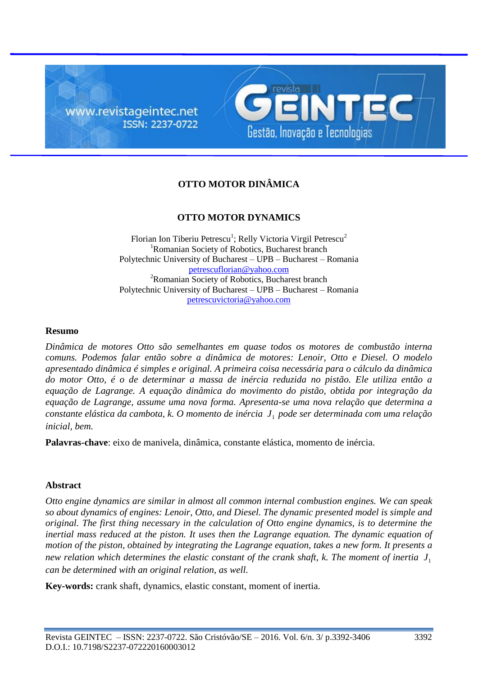



# **OTTO MOTOR DINÂMICA**

# **OTTO MOTOR DYNAMICS**

Florian Ion Tiberiu Petrescu<sup>1</sup>; Relly Victoria Virgil Petrescu<sup>2</sup> <sup>1</sup>Romanian Society of Robotics, Bucharest branch Polytechnic University of Bucharest – UPB – Bucharest – Romania petrescuflorian@yahoo.com <sup>2</sup>Romanian Society of Robotics, Bucharest branch Polytechnic University of Bucharest – UPB – Bucharest – Romania petrescuvictoria@yahoo.com

#### **Resumo**

*Dinâmica de motores Otto são semelhantes em quase todos os motores de combustão interna comuns. Podemos falar então sobre a dinâmica de motores: Lenoir, Otto e Diesel. O modelo apresentado dinâmica é simples e original. A primeira coisa necessária para o cálculo da dinâmica do motor Otto, é o de determinar a massa de inércia reduzida no pistão. Ele utiliza então a equação de Lagrange. A equação dinâmica do movimento do pistão, obtida por integração da equação de Lagrange, assume uma nova forma. Apresenta-se uma nova relação que determina a constante elástica da cambota, k. O momento de inércia* 1 *J pode ser determinada com uma relação inicial, bem.*

**Palavras-chave**: eixo de manivela, dinâmica, constante elástica, momento de inércia.

#### **Abstract**

*Otto engine dynamics are similar in almost all common internal combustion engines. We can speak so about dynamics of engines: Lenoir, Otto, and Diesel. The dynamic presented model is simple and original. The first thing necessary in the calculation of Otto engine dynamics, is to determine the inertial mass reduced at the piston. It uses then the Lagrange equation. The dynamic equation of motion of the piston, obtained by integrating the Lagrange equation, takes a new form. It presents a* new relation which determines the elastic constant of the crank shaft, k. The moment of inertia  $J_1$ *can be determined with an original relation, as well.*

**Key-words:** crank shaft, dynamics, elastic constant, moment of inertia.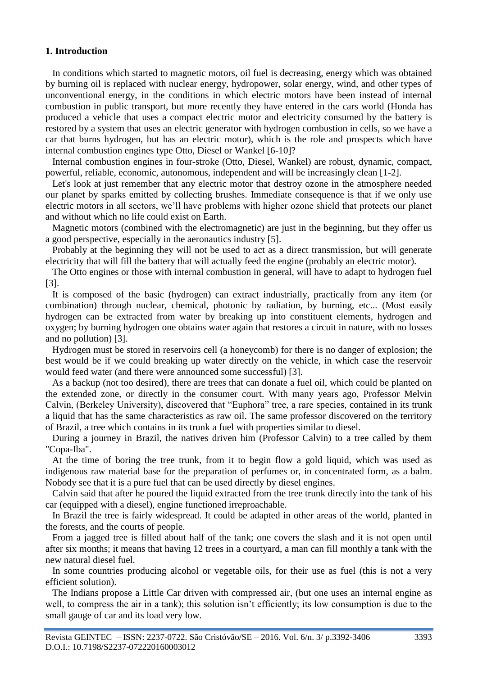## **1. Introduction**

In conditions which started to magnetic motors, oil fuel is decreasing, energy which was obtained by burning oil is replaced with nuclear energy, hydropower, solar energy, wind, and other types of unconventional energy, in the conditions in which electric motors have been instead of internal combustion in public transport, but more recently they have entered in the cars world (Honda has produced a vehicle that uses a compact electric motor and electricity consumed by the battery is restored by a system that uses an electric generator with hydrogen combustion in cells, so we have a car that burns hydrogen, but has an electric motor), which is the role and prospects which have internal combustion engines type Otto, Diesel or Wankel [6-10]?

Internal combustion engines in four-stroke (Otto, Diesel, Wankel) are robust, dynamic, compact, powerful, reliable, economic, autonomous, independent and will be increasingly clean [1-2].

Let's look at just remember that any electric motor that destroy ozone in the atmosphere needed our planet by sparks emitted by collecting brushes. Immediate consequence is that if we only use electric motors in all sectors, we'll have problems with higher ozone shield that protects our planet and without which no life could exist on Earth.

Magnetic motors (combined with the electromagnetic) are just in the beginning, but they offer us a good perspective, especially in the aeronautics industry [5].

Probably at the beginning they will not be used to act as a direct transmission, but will generate electricity that will fill the battery that will actually feed the engine (probably an electric motor).

The Otto engines or those with internal combustion in general, will have to adapt to hydrogen fuel [3].

It is composed of the basic (hydrogen) can extract industrially, practically from any item (or combination) through nuclear, chemical, photonic by radiation, by burning, etc... (Most easily hydrogen can be extracted from water by breaking up into constituent elements, hydrogen and oxygen; by burning hydrogen one obtains water again that restores a circuit in nature, with no losses and no pollution) [3].

Hydrogen must be stored in reservoirs cell (a honeycomb) for there is no danger of explosion; the best would be if we could breaking up water directly on the vehicle, in which case the reservoir would feed water (and there were announced some successful) [3].

As a backup (not too desired), there are trees that can donate a fuel oil, which could be planted on the extended zone, or directly in the consumer court. With many years ago, Professor Melvin Calvin, (Berkeley University), discovered that "Euphora" tree, a rare species, contained in its trunk a liquid that has the same characteristics as raw oil. The same professor discovered on the territory of Brazil, a tree which contains in its trunk a fuel with properties similar to diesel.

During a journey in Brazil, the natives driven him (Professor Calvin) to a tree called by them "Copa-Iba".

At the time of boring the tree trunk, from it to begin flow a gold liquid, which was used as indigenous raw material base for the preparation of perfumes or, in concentrated form, as a balm. Nobody see that it is a pure fuel that can be used directly by diesel engines.

Calvin said that after he poured the liquid extracted from the tree trunk directly into the tank of his car (equipped with a diesel), engine functioned irreproachable.

In Brazil the tree is fairly widespread. It could be adapted in other areas of the world, planted in the forests, and the courts of people.

From a jagged tree is filled about half of the tank; one covers the slash and it is not open until after six months; it means that having 12 trees in a courtyard, a man can fill monthly a tank with the new natural diesel fuel.

In some countries producing alcohol or vegetable oils, for their use as fuel (this is not a very efficient solution).

The Indians propose a Little Car driven with compressed air, (but one uses an internal engine as well, to compress the air in a tank); this solution isn't efficiently; its low consumption is due to the small gauge of car and its load very low.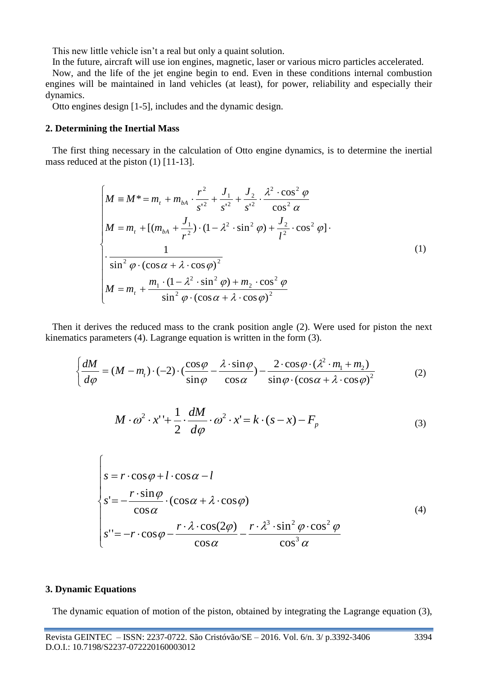This new little vehicle isn't a real but only a quaint solution.

In the future, aircraft will use ion engines, magnetic, laser or various micro particles accelerated.

Now, and the life of the jet engine begin to end. Even in these conditions internal combustion engines will be maintained in land vehicles (at least), for power, reliability and especially their dynamics.

Otto engines design [1-5], includes and the dynamic design.

#### **2. Determining the Inertial Mass**

The first thing necessary in the calculation of Otto engine dynamics, is to determine the inertial mass reduced at the piston (1) [11-13].

$$
\begin{cases}\nM \equiv M^* = m_t + m_{bA} \cdot \frac{r^2}{s^{2}} + \frac{J_1}{s^{2}} + \frac{J_2}{s^{2}} \cdot \frac{\lambda^2 \cdot \cos^2 \varphi}{\cos^2 \alpha} \\
M = m_t + [(m_{bA} + \frac{J_1}{r^2}) \cdot (1 - \lambda^2 \cdot \sin^2 \varphi) + \frac{J_2}{l^2} \cdot \cos^2 \varphi] \cdot \\
\frac{1}{\sin^2 \varphi \cdot (\cos \alpha + \lambda \cdot \cos \varphi)^2} \\
M = m_t + \frac{m_1 \cdot (1 - \lambda^2 \cdot \sin^2 \varphi) + m_2 \cdot \cos^2 \varphi}{\sin^2 \varphi \cdot (\cos \alpha + \lambda \cdot \cos \varphi)^2}\n\end{cases} \tag{1}
$$

Then it derives the reduced mass to the crank position angle (2). Were used for piston the next kinematics parameters (4). Lagrange equation is written in the form (3).

$$
\begin{cases}\n\frac{dM}{d\varphi} = (M - m_t) \cdot (-2) \cdot \left(\frac{\cos\varphi}{\sin\varphi} - \frac{\lambda \cdot \sin\varphi}{\cos\alpha}\right) - \frac{2 \cdot \cos\varphi \cdot (\lambda^2 \cdot m_1 + m_2)}{\sin\varphi \cdot (\cos\alpha + \lambda \cdot \cos\varphi)^2}\n\end{cases} (2)
$$

$$
M \cdot \omega^2 \cdot x' + \frac{1}{2} \cdot \frac{dM}{d\varphi} \cdot \omega^2 \cdot x' = k \cdot (s - x) - F_p \tag{3}
$$

$$
\begin{cases}\ns = r \cdot \cos \varphi + l \cdot \cos \alpha - l \\
s' = -\frac{r \cdot \sin \varphi}{\cos \alpha} \cdot (\cos \alpha + \lambda \cdot \cos \varphi) \\
s'' = -r \cdot \cos \varphi - \frac{r \cdot \lambda \cdot \cos(2\varphi)}{\cos \alpha} - \frac{r \cdot \lambda^3 \cdot \sin^2 \varphi \cdot \cos^2 \varphi}{\cos^3 \alpha}\n\end{cases} (4)
$$

#### **3. Dynamic Equations**

The dynamic equation of motion of the piston, obtained by integrating the Lagrange equation (3),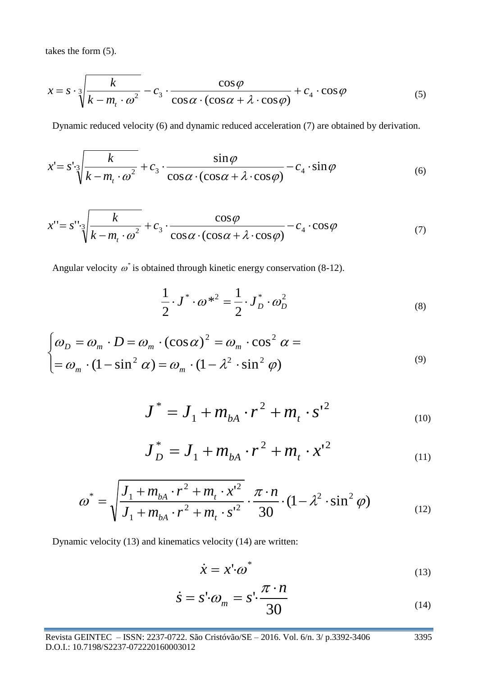takes the form (5).

$$
x = s \cdot \sqrt[3]{\frac{k}{k - m_t \cdot \omega^2}} - c_3 \cdot \frac{\cos \varphi}{\cos \alpha \cdot (\cos \alpha + \lambda \cdot \cos \varphi)} + c_4 \cdot \cos \varphi \tag{5}
$$

Dynamic reduced velocity (6) and dynamic reduced acceleration (7) are obtained by derivation.

$$
x = s' \sqrt{\frac{k}{k - m_t \cdot \omega^2}} + c_3 \cdot \frac{\sin \varphi}{\cos \alpha \cdot (\cos \alpha + \lambda \cdot \cos \varphi)} - c_4 \cdot \sin \varphi \tag{6}
$$

$$
x'' = s'' \sqrt[3]{\frac{k}{k - m_t \cdot \omega^2}} + c_3 \cdot \frac{\cos \varphi}{\cos \alpha \cdot (\cos \alpha + \lambda \cdot \cos \varphi)} - c_4 \cdot \cos \varphi \tag{7}
$$

Angular velocity  $\omega^*$  is obtained through kinetic energy conservation (8-12).

$$
\frac{1}{2} \cdot J^* \cdot \omega^{*2} = \frac{1}{2} \cdot J_D^* \cdot \omega_D^2 \tag{8}
$$

$$
\begin{cases}\n\omega_D = \omega_m \cdot D = \omega_m \cdot (\cos \alpha)^2 = \omega_m \cdot \cos^2 \alpha = \\
= \omega_m \cdot (1 - \sin^2 \alpha) = \omega_m \cdot (1 - \lambda^2 \cdot \sin^2 \varphi)\n\end{cases} \tag{9}
$$

$$
J^* = J_1 + m_{bA} \cdot r^2 + m_t \cdot s^{2}
$$
 (10)

$$
J_D^* = J_1 + m_{bA} \cdot r^2 + m_t \cdot x^{2}
$$
 (11)

$$
\omega^* = \sqrt{\frac{J_1 + m_{bA} \cdot r^2 + m_t \cdot x'^2}{J_1 + m_{bA} \cdot r^2 + m_t \cdot s'^2}} \cdot \frac{\pi \cdot n}{30} \cdot (1 - \lambda^2 \cdot \sin^2 \varphi)
$$
(12)

Dynamic velocity (13) and kinematics velocity (14) are written:

$$
\dot{x} = x' \cdot \omega^* \tag{13}
$$

$$
\dot{s} = s' \cdot \omega_m = s' \cdot \frac{\pi \cdot n}{30} \tag{14}
$$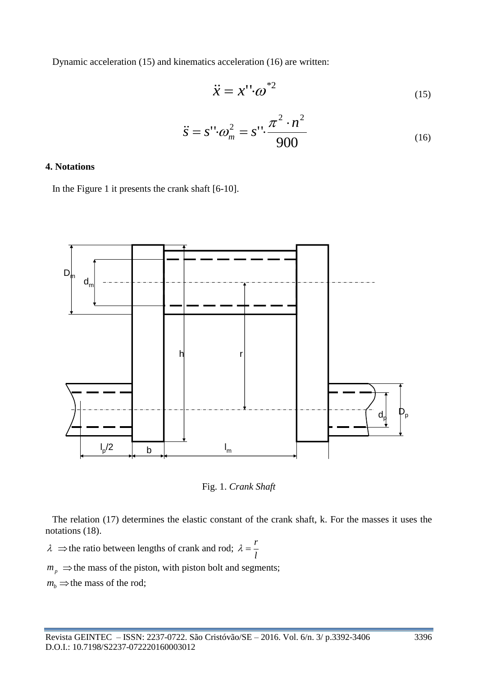Dynamic acceleration (15) and kinematics acceleration (16) are written:

$$
\ddot{x} = x'' \cdot \omega^{*2} \tag{15}
$$

$$
\ddot{s} = s'' \cdot \omega_m^2 = s'' \cdot \frac{\pi^2 \cdot n^2}{900} \tag{16}
$$

### **4. Notations**

In the Figure 1 it presents the crank shaft [6-10].



Fig. 1. *Crank Shaft*

The relation (17) determines the elastic constant of the crank shaft, k. For the masses it uses the notations (18).

 $\lambda \implies$  the ratio between lengths of crank and rod; *l*  $\lambda = \frac{r}{r}$ 

 $m_p \Rightarrow$  the mass of the piston, with piston bolt and segments;

 $m_b \Rightarrow$  the mass of the rod;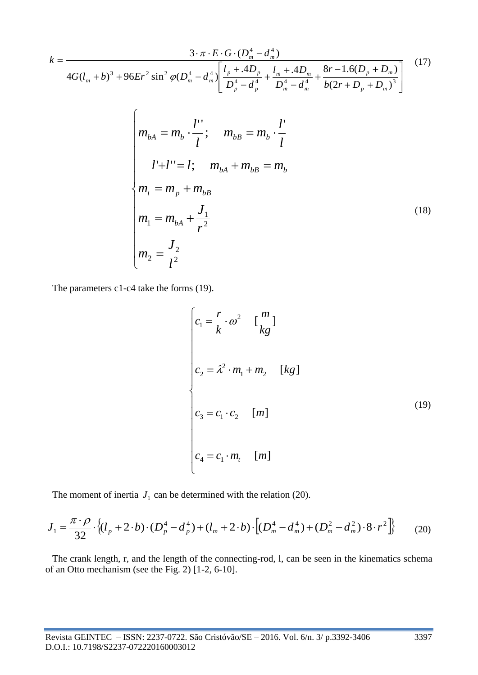$$
k = \frac{3 \cdot \pi \cdot E \cdot G \cdot (D_m^4 - d_m^4)}{4G(l_m + b)^3 + 96Er^2 \sin^2 \varphi(D_m^4 - d_m^4) \left[ \frac{l_p + A D_p}{D_p^4 - d_p^4} + \frac{l_m + A D_m}{D_m^4 - d_m^4} + \frac{8r - 1.6(D_p + D_m)}{b(2r + D_p + D_m)^3} \right]} \tag{17}
$$
\n
$$
m_{bA} = m_b \cdot \frac{l'}{l}; \quad m_{bB} = m_b \cdot \frac{l'}{l}
$$
\n
$$
l' + l'' = l; \quad m_{bA} + m_{bB} = m_b
$$
\n
$$
m_1 = m_p + m_{bB}
$$
\n
$$
m_1 = m_{bA} + \frac{J_1}{r^2}
$$
\n
$$
m_2 = \frac{J_2}{l^2}
$$
\n(18)

The parameters c1-c4 take the forms (19).

$$
\begin{cases}\nc_1 = \frac{r}{k} \cdot \omega^2 & \left[\frac{m}{kg}\right] \\
c_2 = \lambda^2 \cdot m_1 + m_2 & \left[kg\right] \\
c_3 = c_1 \cdot c_2 & \left[m\right] \\
c_4 = c_1 \cdot m_t & \left[m\right]\n\end{cases} \tag{19}
$$

The moment of inertia  $J_1$  can be determined with the relation (20).

$$
J_1 = \frac{\pi \cdot \rho}{32} \cdot \left\{ (l_p + 2 \cdot b) \cdot (D_p^4 - d_p^4) + (l_m + 2 \cdot b) \cdot \left[ (D_m^4 - d_m^4) + (D_m^2 - d_m^2) \cdot 8 \cdot r^2 \right] \right\}
$$
 (20)

The crank length, r, and the length of the connecting-rod, l, can be seen in the kinematics schema of an Otto mechanism (see the Fig. 2) [1-2, 6-10].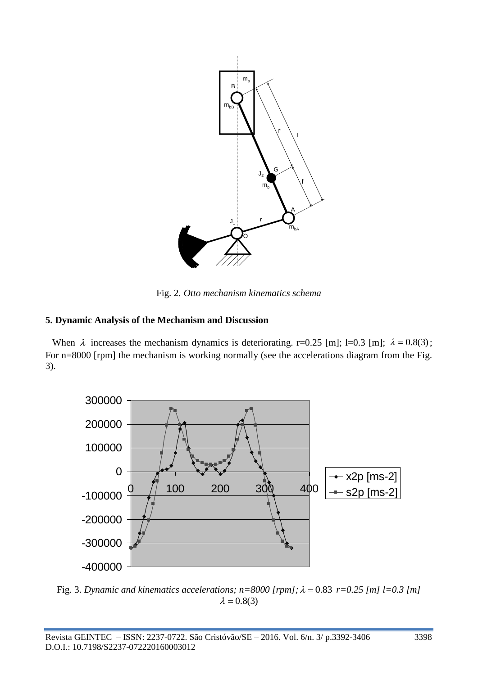

Fig. 2*. Otto mechanism kinematics schema*

## **5. Dynamic Analysis of the Mechanism and Discussion**

When  $\lambda$  increases the mechanism dynamics is deteriorating. r=0.25 [m]; l=0.3 [m];  $\lambda = 0.8(3)$ ; For n=8000 [rpm] the mechanism is working normally (see the accelerations diagram from the Fig. 3).



Fig. 3. *Dynamic and kinematics accelerations;*  $n = 8000$  [rpm];  $\lambda = 0.83$  r=0.25 [m]  $l = 0.3$  [m]  $\lambda = 0.8(3)$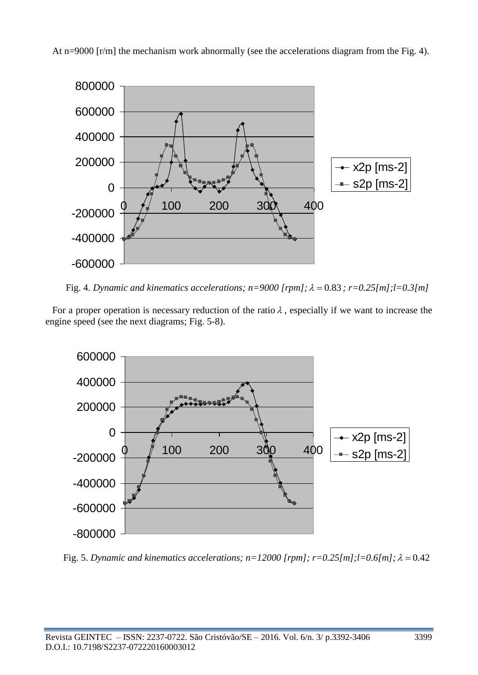



Fig. 4. *Dynamic and kinematics accelerations;*  $n=9000$  [rpm];  $\lambda = 0.83$ ;  $r=0.25$ [m];l=0.3[m]

For a proper operation is necessary reduction of the ratio  $\lambda$ , especially if we want to increase the engine speed (see the next diagrams; Fig. 5-8).



Fig. 5. *Dynamic and kinematics accelerations;*  $n=12000$  [rpm];  $r=0.25$ [m]; $l=0.6$ [m];  $\lambda=0.42$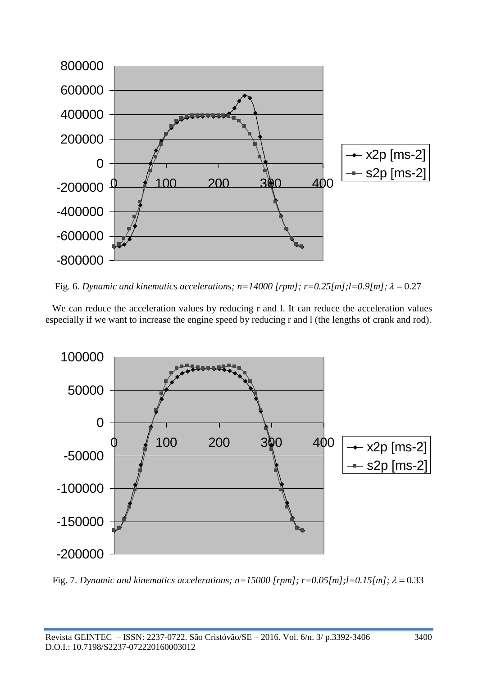

Fig. 6. *Dynamic and kinematics accelerations;*  $n=14000$  [rpm];  $r=0.25$ [m]; $l=0.9$ [m];  $\lambda=0.27$ 

We can reduce the acceleration values by reducing r and l. It can reduce the acceleration values especially if we want to increase the engine speed by reducing r and l (the lengths of crank and rod).



Fig. 7. *Dynamic and kinematics accelerations;*  $n=15000$  [rpm];  $r=0.05$ [m]; $l=0.15$ [m];  $\lambda=0.33$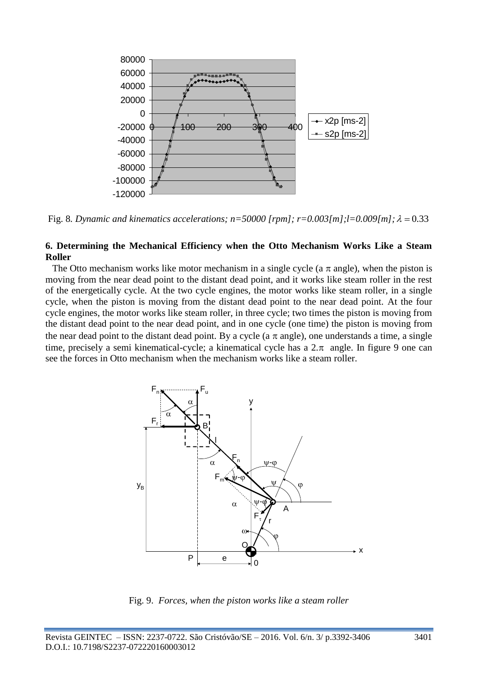

Fig. 8. Dynamic and kinematics accelerations;  $n = 50000$  [rpm];  $r = 0.003$ [m];l=0.009[m];  $\lambda = 0.33$ 

#### **6. Determining the Mechanical Efficiency when the Otto Mechanism Works Like a Steam Roller**

The Otto mechanism works like motor mechanism in a single cycle (a  $\pi$  angle), when the piston is moving from the near dead point to the distant dead point, and it works like steam roller in the rest of the energetically cycle. At the two cycle engines, the motor works like steam roller, in a single cycle, when the piston is moving from the distant dead point to the near dead point. At the four cycle engines, the motor works like steam roller, in three cycle; two times the piston is moving from the distant dead point to the near dead point, and in one cycle (one time) the piston is moving from the near dead point to the distant dead point. By a cycle (a  $\pi$  angle), one understands a time, a single time, precisely a semi kinematical-cycle; a kinematical cycle has a  $2.\pi$  angle. In figure 9 one can see the forces in Otto mechanism when the mechanism works like a steam roller.



Fig. 9. *Forces, when the piston works like a steam roller*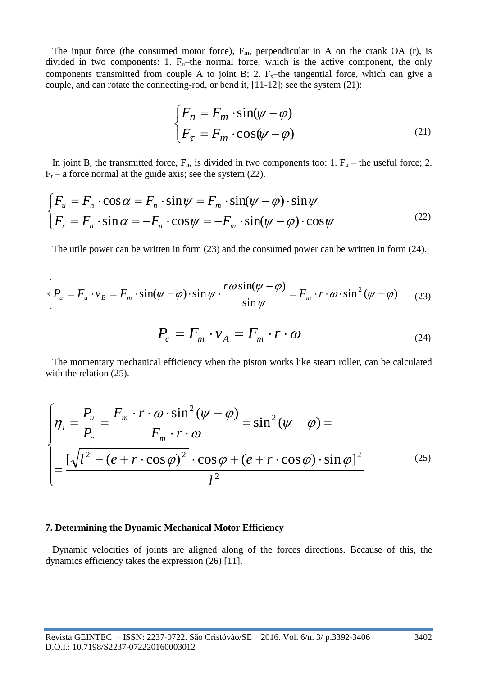The input force (the consumed motor force),  $F_m$ , perpendicular in A on the crank OA (r), is divided in two components: 1.  $F_n$ –the normal force, which is the active component, the only components transmitted from couple A to joint B; 2.  $F_{\tau}$ -the tangential force, which can give a couple, and can rotate the connecting-rod, or bend it, [11-12]; see the system (21):

$$
\begin{cases}\nF_n = F_m \cdot \sin(\psi - \varphi) \\
F_\tau = F_m \cdot \cos(\psi - \varphi)\n\end{cases} \tag{21}
$$

In joint B, the transmitted force,  $F_n$ , is divided in two components too: 1.  $F_u$  – the useful force; 2.  $F_r$  – a force normal at the guide axis; see the system (22).

$$
\begin{cases}\nF_u = F_n \cdot \cos \alpha = F_n \cdot \sin \psi = F_m \cdot \sin(\psi - \varphi) \cdot \sin \psi \\
F_r = F_n \cdot \sin \alpha = -F_n \cdot \cos \psi = -F_m \cdot \sin(\psi - \varphi) \cdot \cos \psi\n\end{cases}
$$
\n(22)

The utile power can be written in form (23) and the consumed power can be written in form (24).

$$
\left\{ P_u = F_u \cdot v_B = F_m \cdot \sin(\psi - \varphi) \cdot \sin \psi \cdot \frac{r \omega \sin(\psi - \varphi)}{\sin \psi} \right\} = F_m \cdot r \cdot \omega \cdot \sin^2(\psi - \varphi) \tag{23}
$$

$$
P_c = F_m \cdot v_A = F_m \cdot r \cdot \omega \tag{24}
$$

The momentary mechanical efficiency when the piston works like steam roller, can be calculated with the relation  $(25)$ .

$$
\begin{cases}\n\eta_i = \frac{P_u}{P_c} = \frac{F_m \cdot r \cdot \omega \cdot \sin^2(\psi - \varphi)}{F_m \cdot r \cdot \omega} = \sin^2(\psi - \varphi) = \\
\frac{\left[\sqrt{l^2 - (e + r \cdot \cos \varphi)^2} \cdot \cos \varphi + (e + r \cdot \cos \varphi) \cdot \sin \varphi\right]^2}{l^2}\n\end{cases} (25)
$$

#### **7. Determining the Dynamic Mechanical Motor Efficiency**

Dynamic velocities of joints are aligned along of the forces directions. Because of this, the dynamics efficiency takes the expression (26) [11].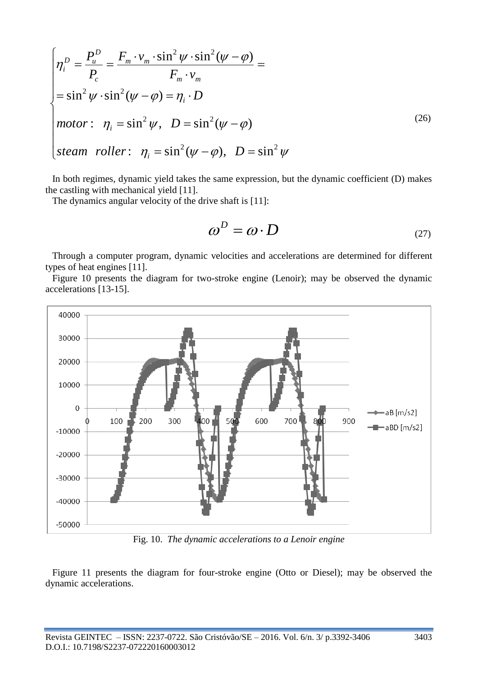$$
\begin{cases}\n\eta_i^D = \frac{P_u^D}{P_c} = \frac{F_m \cdot v_m \cdot \sin^2 \psi \cdot \sin^2 (\psi - \varphi)}{F_m \cdot v_m} = \\
= \sin^2 \psi \cdot \sin^2 (\psi - \varphi) = \eta_i \cdot D \\
\text{motor:} \quad \eta_i = \sin^2 \psi, \quad D = \sin^2 (\psi - \varphi) \\
\text{steam roller:} \quad \eta_i = \sin^2 (\psi - \varphi), \quad D = \sin^2 \psi\n\end{cases} \tag{26}
$$

In both regimes, dynamic yield takes the same expression, but the dynamic coefficient (D) makes the castling with mechanical yield [11].

The dynamics angular velocity of the drive shaft is [11]:

$$
\omega^D = \omega \cdot D \tag{27}
$$

Through a computer program, dynamic velocities and accelerations are determined for different types of heat engines [11].

Figure 10 presents the diagram for two-stroke engine (Lenoir); may be observed the dynamic accelerations [13-15].



Fig. 10. *The dynamic accelerations to a Lenoir engine*

Figure 11 presents the diagram for four-stroke engine (Otto or Diesel); may be observed the dynamic accelerations.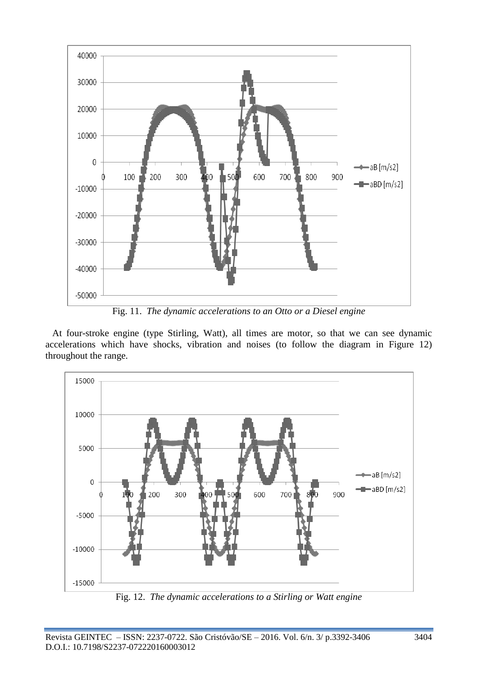

Fig. 11. *The dynamic accelerations to an Otto or a Diesel engine*

At four-stroke engine (type Stirling, Watt), all times are motor, so that we can see dynamic accelerations which have shocks, vibration and noises (to follow the diagram in Figure 12) throughout the range.

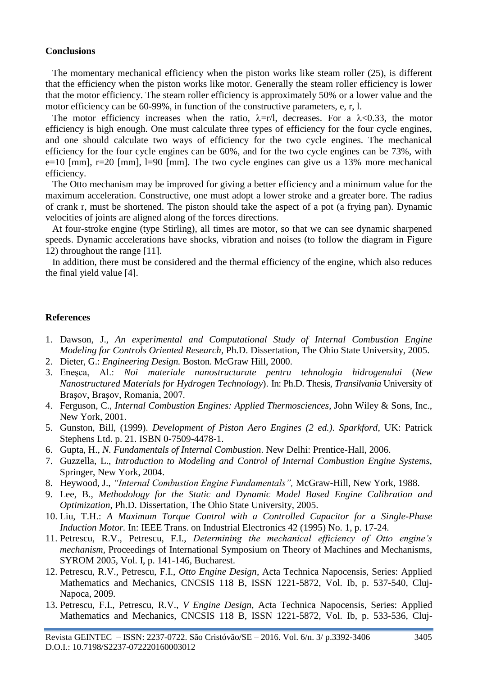#### **Conclusions**

The momentary mechanical efficiency when the piston works like steam roller (25), is different that the efficiency when the piston works like motor. Generally the steam roller efficiency is lower that the motor efficiency. The steam roller efficiency is approximately 50% or a lower value and the motor efficiency can be 60-99%, in function of the constructive parameters, e, r, l.

The motor efficiency increases when the ratio,  $\lambda = r/l$ , decreases. For a  $\lambda < 0.33$ , the motor efficiency is high enough. One must calculate three types of efficiency for the four cycle engines, and one should calculate two ways of efficiency for the two cycle engines. The mechanical efficiency for the four cycle engines can be 60%, and for the two cycle engines can be 73%, with e=10 [mm], r=20 [mm], l=90 [mm]. The two cycle engines can give us a 13% more mechanical efficiency.

The Otto mechanism may be improved for giving a better efficiency and a minimum value for the maximum acceleration. Constructive, one must adopt a lower stroke and a greater bore. The radius of crank r, must be shortened. The piston should take the aspect of a pot (a frying pan). Dynamic velocities of joints are aligned along of the forces directions.

At four-stroke engine (type Stirling), all times are motor, so that we can see dynamic sharpened speeds. Dynamic accelerations have shocks, vibration and noises (to follow the diagram in Figure 12) throughout the range [11].

In addition, there must be considered and the thermal efficiency of the engine, which also reduces the final yield value [4].

## **References**

- 1. Dawson, J., *An experimental and Computational Study of Internal Combustion Engine Modeling for Controls Oriented Research,* Ph.D. Dissertation, The Ohio State University, 2005.
- 2. Dieter, G.: *Engineering Design.* Boston. McGraw Hill, 2000.
- 3. Eneşca, Al.: *Noi materiale nanostructurate pentru tehnologia hidrogenului* (*New Nanostructured Materials for Hydrogen Technology*). In: Ph.D. Thesis, *Transilvania* University of Braşov, Braşov, Romania, 2007.
- 4. Ferguson, C., *Internal Combustion Engines: Applied Thermosciences*, John Wiley & Sons, Inc., New York, 2001.
- 5. Gunston, Bill, (1999). *Development of Piston Aero Engines (2 ed.). Sparkford*, UK: Patrick Stephens Ltd. p. 21. ISBN 0-7509-4478-1.
- 6. Gupta, H., *N. Fundamentals of Internal Combustion*. New Delhi: Prentice-Hall, 2006.
- 7. Guzzella, L., *Introduction to Modeling and Control of Internal Combustion Engine Systems,* Springer, New York, 2004.
- 8. Heywood, J., *"Internal Combustion Engine Fundamentals",* McGraw-Hill, New York, 1988.
- 9. Lee, B., *Methodology for the Static and Dynamic Model Based Engine Calibration and Optimization*, Ph.D. Dissertation, The Ohio State University, 2005.
- 10. Liu, T.H.: *A Maximum Torque Control with a Controlled Capacitor for a Single-Phase Induction Motor.* In: IEEE Trans. on Industrial Electronics 42 (1995) No. 1, p. 17-24.
- 11. Petrescu, R.V., Petrescu, F.I., *Determining the mechanical efficiency of Otto engine's mechanism,* Proceedings of International Symposium on Theory of Machines and Mechanisms, SYROM 2005, Vol. I, p. 141-146, Bucharest.
- 12. Petrescu, R.V., Petrescu, F.I., *Otto Engine Design*, Acta Technica Napocensis, Series: Applied Mathematics and Mechanics, CNCSIS 118 B, ISSN 1221-5872, Vol. Ib, p. 537-540, Cluj-Napoca, 2009.
- 13. Petrescu, F.I., Petrescu, R.V., *V Engine Design*, Acta Technica Napocensis, Series: Applied Mathematics and Mechanics, CNCSIS 118 B, ISSN 1221-5872, Vol. Ib, p. 533-536, Cluj-